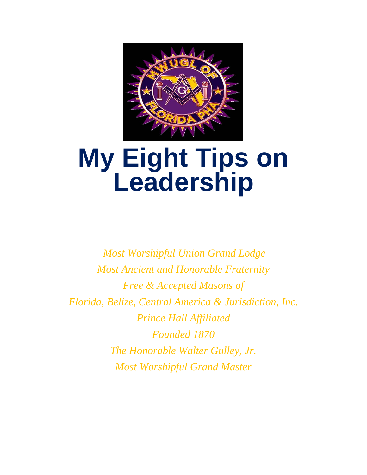

## **My Eight Tips on Leadership**

*Most Worshipful Union Grand Lodge Most Ancient and Honorable Fraternity Free & Accepted Masons of Florida, Belize, Central America & Jurisdiction, Inc. Prince Hall Affiliated Founded 1870 The Honorable Walter Gulley, Jr. Most Worshipful Grand Master*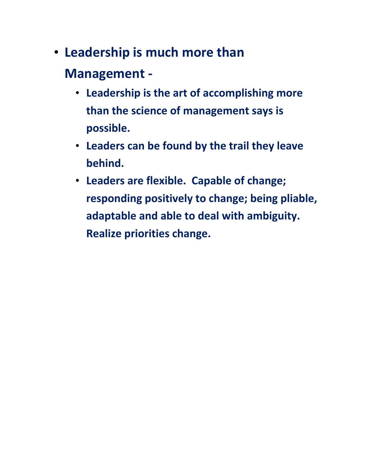- **Leadership is much more than Management -**
	- **Leadership is the art of accomplishing more than the science of management says is possible.**
	- **Leaders can be found by the trail they leave behind.**
	- **Leaders are flexible. Capable of change; responding positively to change; being pliable, adaptable and able to deal with ambiguity. Realize priorities change.**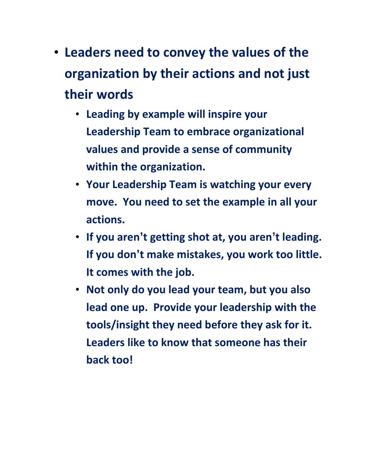- **Leaders need to convey the values of the organization by their actions and not just their words** 
	- **Leading by example will inspire your Leadership Team to embrace organizational values and provide a sense of community within the organization.**
	- **Your Leadership Team is watching your every move. You need to set the example in all your actions.**
	- **If you aren't getting shot at, you aren't leading. If you don't make mistakes, you work too little. It comes with the job.**
	- **Not only do you lead your team, but you also lead one up. Provide your leadership with the tools/insight they need before they ask for it. Leaders like to know that someone has their back too!**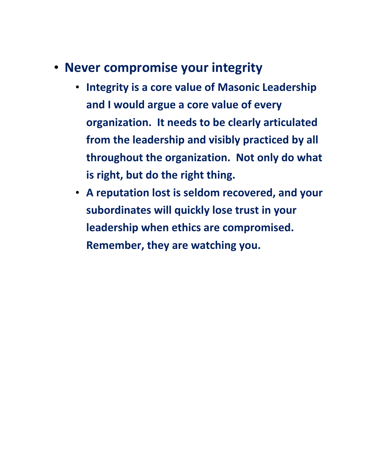- **Never compromise your integrity** 
	- **Integrity is a core value of Masonic Leadership and I would argue a core value of every organization. It needs to be clearly articulated from the leadership and visibly practiced by all throughout the organization. Not only do what is right, but do the right thing.**
	- **A reputation lost is seldom recovered, and your subordinates will quickly lose trust in your leadership when ethics are compromised. Remember, they are watching you.**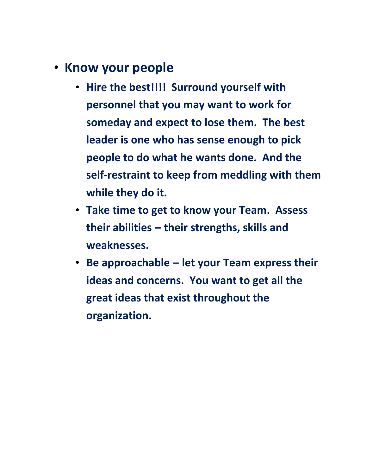- **Know your people**
	- **Hire the best!!!! Surround yourself with personnel that you may want to work for someday and expect to lose them. The best leader is one who has sense enough to pick people to do what he wants done. And the self-restraint to keep from meddling with them while they do it.**
	- **Take time to get to know your Team. Assess their abilities – their strengths, skills and weaknesses.**
	- **Be approachable – let your Team express their ideas and concerns. You want to get all the great ideas that exist throughout the organization.**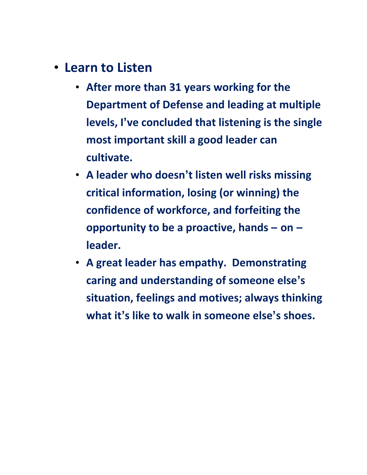- **Learn to Listen**
	- **After more than 31 years working for the Department of Defense and leading at multiple levels, I've concluded that listening is the single most important skill a good leader can cultivate.**
	- **A leader who doesn't listen well risks missing critical information, losing (or winning) the confidence of workforce, and forfeiting the opportunity to be a proactive, hands – on – leader.**
	- **A great leader has empathy. Demonstrating caring and understanding of someone else's situation, feelings and motives; always thinking what it's like to walk in someone else's shoes.**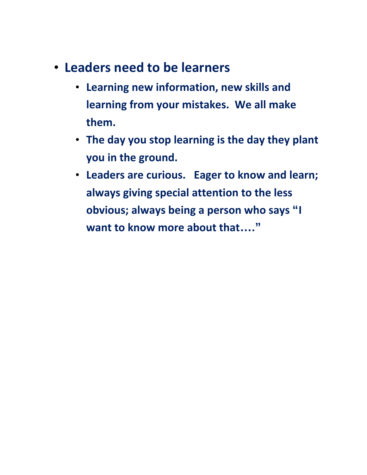- **Leaders need to be learners**
	- **Learning new information, new skills and learning from your mistakes. We all make them.**
	- **The day you stop learning is the day they plant you in the ground.**
	- **Leaders are curious. Eager to know and learn; always giving special attention to the less obvious; always being a person who says "I want to know more about that…."**